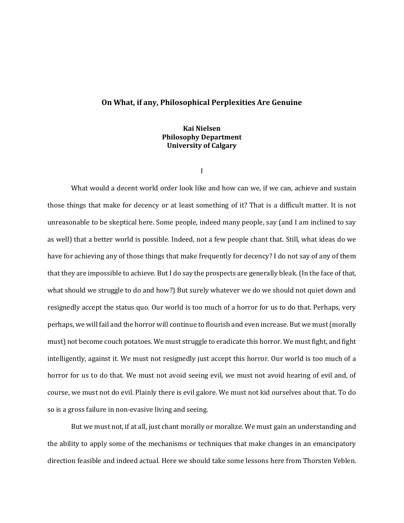## **On What, if any, Philosophical Perplexities Are Genuine**

**Kai Nielsen Philosophy Department University of Calgary**

I

What would a decent world order look like and how can we, if we can, achieve and sustain those things that make for decency or at least something of it? That is a difficult matter. It is not unreasonable to be skeptical here. Some people, indeed many people, say (and I am inclined to say as well) that a better world is possible. Indeed, not a few people chant that. Still, what ideas do we have for achieving any of those things that make frequently for decency? I do not say of any of them that they are impossible to achieve. But I do say the prospects are generally bleak. (In the face of that, what should we struggle to do and how?) But surely whatever we do we should not quiet down and resignedly accept the status quo. Our world is too much of a horror for us to do that. Perhaps, very perhaps, we will fail and the horror will continue to flourish and even increase. But we must (morally must) not become couch potatoes. We must struggle to eradicate this horror. We must fight, and fight intelligently, against it. We must not resignedly just accept this horror. Our world is too much of a horror for us to do that. We must not avoid seeing evil, we must not avoid hearing of evil and, of course, we must not do evil. Plainly there is evil galore. We must not kid ourselves about that. To do so is a gross failure in non-evasive living and seeing.

But we must not, if at all, just chant morally or moralize. We must gain an understanding and the ability to apply some of the mechanisms or techniques that make changes in an emancipatory direction feasible and indeed actual. Here we should take some lessons here from Thorsten Veblen.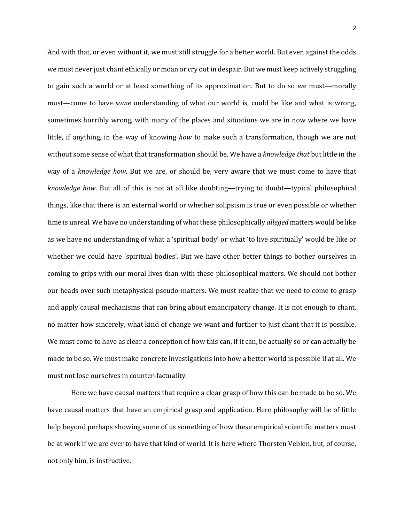And with that, or even without it, we must still struggle for a better world. But even against the odds we must never just chant ethically or moan or cry out in despair. But we must keep actively struggling to gain such a world or at least something of its approximation. But to do so we must—morally must—come to have *some* understanding of what our world is, could be like and what is wrong, sometimes horribly wrong, with many of the places and situations we are in now where we have little, if anything, in the way of knowing *how* to make such a transformation, though we are not without some sense of what that transformation should be. We have a *knowledge that* but little in the way of a *knowledge how*. But we are, or should be, very aware that we must come to have that *knowledge how*. But all of this is not at all like doubting—trying to doubt—typical philosophical things, like that there is an external world or whether solipsism is true or even possible or whether time is unreal. We have no understanding of what these philosophically *alleged* matters would be like as we have no understanding of what a 'spiritual body' or what 'to live spiritually' would be like or whether we could have 'spiritual bodies'. But we have other better things to bother ourselves in coming to grips with our moral lives than with these philosophical matters. We should not bother our heads over such metaphysical pseudo-matters. We must realize that we need to come to grasp and apply causal mechanisms that can bring about emancipatory change. It is not enough to chant, no matter how sincerely, what kind of change we want and further to just chant that it is possible. We must come to have as clear a conception of how this can, if it can, be actually so or can actually be made to be so. We must make concrete investigations into how a better world is possible if at all. We must not lose ourselves in counter-factuality.

Here we have causal matters that require a clear grasp of how this can be made to be so. We have causal matters that have an empirical grasp and application. Here philosophy will be of little help beyond perhaps showing some of us something of how these empirical scientific matters must be at work if we are ever to have that kind of world. It is here where Thorsten Veblen, but, of course, not only him, is instructive.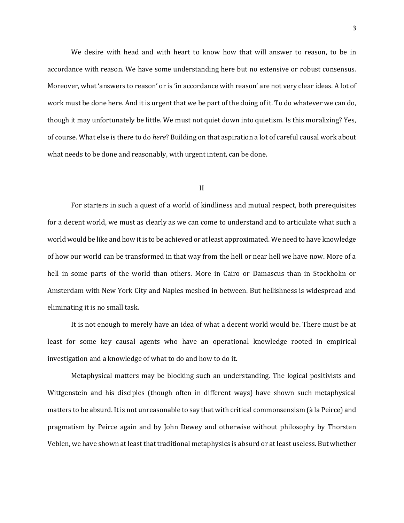We desire with head and with heart to know how that will answer to reason, to be in accordance with reason. We have some understanding here but no extensive or robust consensus. Moreover, what 'answers to reason' or is 'in accordance with reason' are not very clear ideas. A lot of work must be done here. And it is urgent that we be part of the doing of it. To do whatever we can do, though it may unfortunately be little. We must not quiet down into quietism. Is this moralizing? Yes, of course. What else is there to do *here*? Building on that aspiration a lot of careful causal work about what needs to be done and reasonably, with urgent intent, can be done.

## II

For starters in such a quest of a world of kindliness and mutual respect, both prerequisites for a decent world, we must as clearly as we can come to understand and to articulate what such a world would be like and how it is to be achieved or at least approximated. We need to have knowledge of how our world can be transformed in that way from the hell or near hell we have now. More of a hell in some parts of the world than others. More in Cairo or Damascus than in Stockholm or Amsterdam with New York City and Naples meshed in between. But hellishness is widespread and eliminating it is no small task.

It is not enough to merely have an idea of what a decent world would be. There must be at least for some key causal agents who have an operational knowledge rooted in empirical investigation and a knowledge of what to do and how to do it.

Metaphysical matters may be blocking such an understanding. The logical positivists and Wittgenstein and his disciples (though often in different ways) have shown such metaphysical matters to be absurd. It is not unreasonable to say that with critical commonsensism (à la Peirce) and pragmatism by Peirce again and by John Dewey and otherwise without philosophy by Thorsten Veblen, we have shown at least that traditional metaphysics is absurd or at least useless. But whether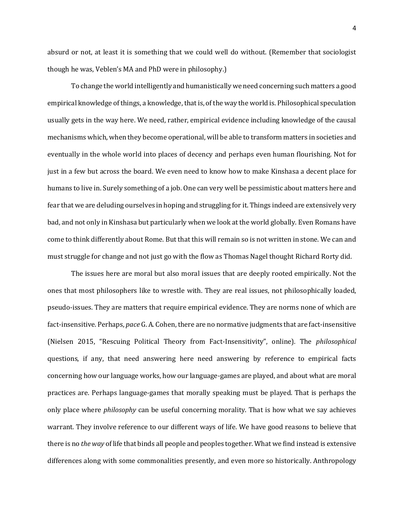absurd or not, at least it is something that we could well do without. (Remember that sociologist though he was, Veblen's MA and PhD were in philosophy.)

To change the world intelligently and humanistically we need concerning such matters a good empirical knowledge of things, a knowledge, that is, of the way the world is. Philosophical speculation usually gets in the way here. We need, rather, empirical evidence including knowledge of the causal mechanisms which, when they become operational, will be able to transform matters in societies and eventually in the whole world into places of decency and perhaps even human flourishing. Not for just in a few but across the board. We even need to know how to make Kinshasa a decent place for humans to live in. Surely something of a job. One can very well be pessimistic about matters here and fear that we are deluding ourselves in hoping and struggling for it. Things indeed are extensively very bad, and not only in Kinshasa but particularly when we look at the world globally. Even Romans have come to think differently about Rome. But that this will remain so is not written in stone. We can and must struggle for change and not just go with the flow as Thomas Nagel thought Richard Rorty did.

The issues here are moral but also moral issues that are deeply rooted empirically. Not the ones that most philosophers like to wrestle with. They are real issues, not philosophically loaded, pseudo-issues. They are matters that require empirical evidence. They are norms none of which are fact-insensitive. Perhaps, *pace* G. A. Cohen, there are no normative judgments that are fact-insensitive (Nielsen 2015, "Rescuing Political Theory from Fact-Insensitivity", online). The *philosophical* questions, if any, that need answering here need answering by reference to empirical facts concerning how our language works, how our language-games are played, and about what are moral practices are. Perhaps language-games that morally speaking must be played. That is perhaps the only place where *philosophy* can be useful concerning morality. That is how what we say achieves warrant. They involve reference to our different ways of life. We have good reasons to believe that there is no *the way* of life that binds all people and peoples together. What we find instead is extensive differences along with some commonalities presently, and even more so historically. Anthropology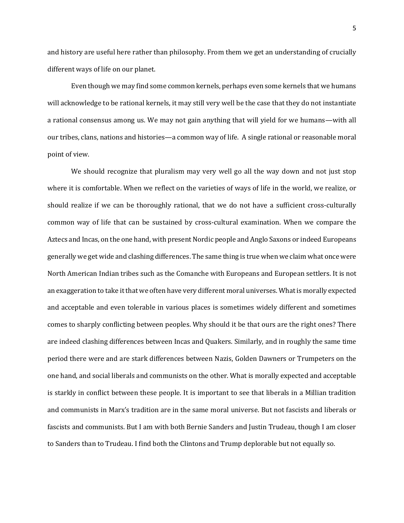and history are useful here rather than philosophy. From them we get an understanding of crucially different ways of life on our planet.

Even though we may find some common kernels, perhaps even some kernels that we humans will acknowledge to be rational kernels, it may still very well be the case that they do not instantiate a rational consensus among us. We may not gain anything that will yield for we humans—with all our tribes, clans, nations and histories—a common way of life. A single rational or reasonable moral point of view.

We should recognize that pluralism may very well go all the way down and not just stop where it is comfortable. When we reflect on the varieties of ways of life in the world, we realize, or should realize if we can be thoroughly rational, that we do not have a sufficient cross-culturally common way of life that can be sustained by cross-cultural examination. When we compare the Aztecs and Incas, on the one hand, with present Nordic people and Anglo Saxons or indeed Europeans generally we get wide and clashing differences. The same thing is true when we claim what once were North American Indian tribes such as the Comanche with Europeans and European settlers. It is not an exaggeration to take it that we often have very different moral universes. What is morally expected and acceptable and even tolerable in various places is sometimes widely different and sometimes comes to sharply conflicting between peoples. Why should it be that ours are the right ones? There are indeed clashing differences between Incas and Quakers. Similarly, and in roughly the same time period there were and are stark differences between Nazis, Golden Dawners or Trumpeters on the one hand, and social liberals and communists on the other. What is morally expected and acceptable is starkly in conflict between these people. It is important to see that liberals in a Millian tradition and communists in Marx's tradition are in the same moral universe. But not fascists and liberals or fascists and communists. But I am with both Bernie Sanders and Justin Trudeau, though I am closer to Sanders than to Trudeau. I find both the Clintons and Trump deplorable but not equally so.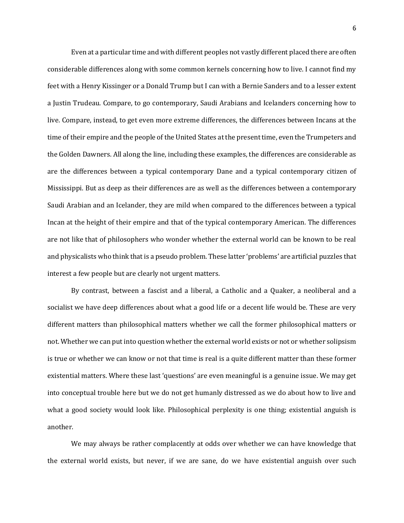Even at a particular time and with different peoples not vastly different placed there are often considerable differences along with some common kernels concerning how to live. I cannot find my feet with a Henry Kissinger or a Donald Trump but I can with a Bernie Sanders and to a lesser extent a Justin Trudeau. Compare, to go contemporary, Saudi Arabians and Icelanders concerning how to live. Compare, instead, to get even more extreme differences, the differences between Incans at the time of their empire and the people of the United States at the present time, even the Trumpeters and the Golden Dawners. All along the line, including these examples, the differences are considerable as are the differences between a typical contemporary Dane and a typical contemporary citizen of Mississippi. But as deep as their differences are as well as the differences between a contemporary Saudi Arabian and an Icelander, they are mild when compared to the differences between a typical Incan at the height of their empire and that of the typical contemporary American. The differences are not like that of philosophers who wonder whether the external world can be known to be real and physicalists who think that is a pseudo problem. These latter 'problems' are artificial puzzles that interest a few people but are clearly not urgent matters.

By contrast, between a fascist and a liberal, a Catholic and a Quaker, a neoliberal and a socialist we have deep differences about what a good life or a decent life would be. These are very different matters than philosophical matters whether we call the former philosophical matters or not. Whether we can put into question whether the external world exists or not or whether solipsism is true or whether we can know or not that time is real is a quite different matter than these former existential matters. Where these last 'questions' are even meaningful is a genuine issue. We may get into conceptual trouble here but we do not get humanly distressed as we do about how to live and what a good society would look like. Philosophical perplexity is one thing; existential anguish is another.

We may always be rather complacently at odds over whether we can have knowledge that the external world exists, but never, if we are sane, do we have existential anguish over such